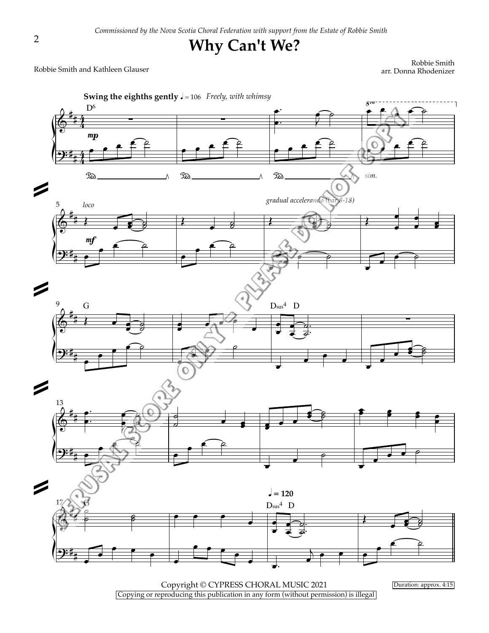## **Why Can't We?**

Robbie Smith and Kathleen Glauser

Robbie Smith<br>arr. Donna Rhodenizer



Copying or reproducing this publication in any form (without permission) is illegal

2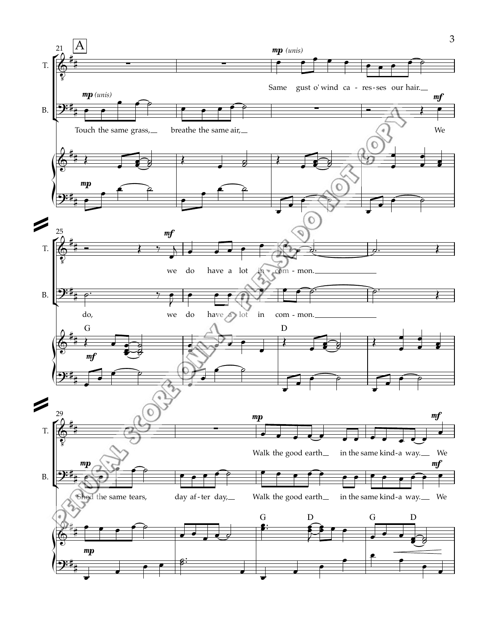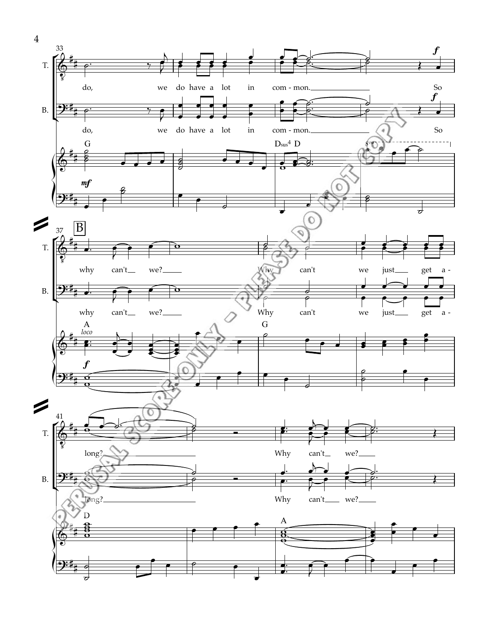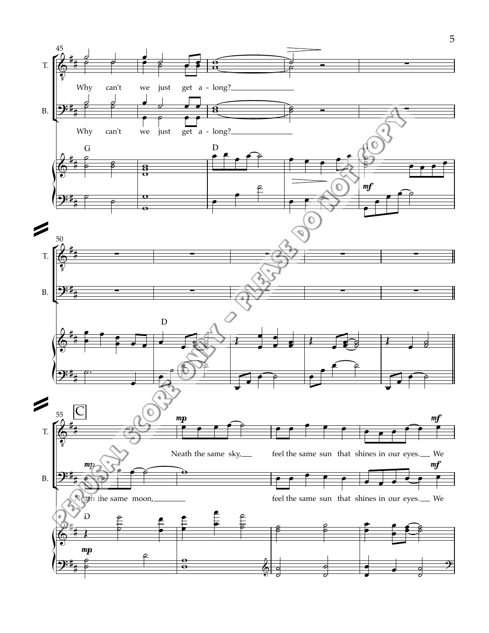

5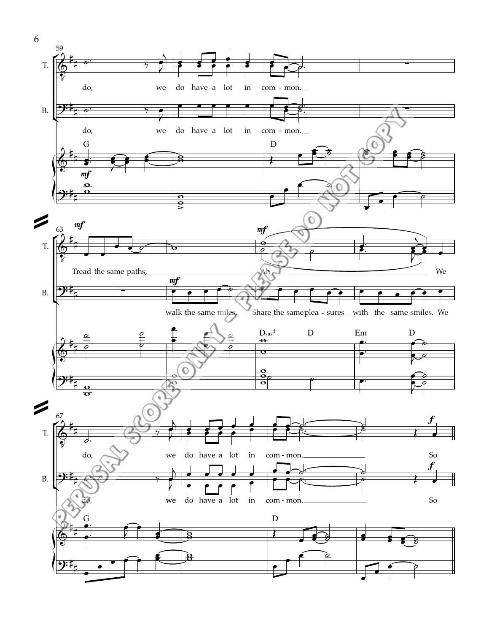![](_page_4_Figure_0.jpeg)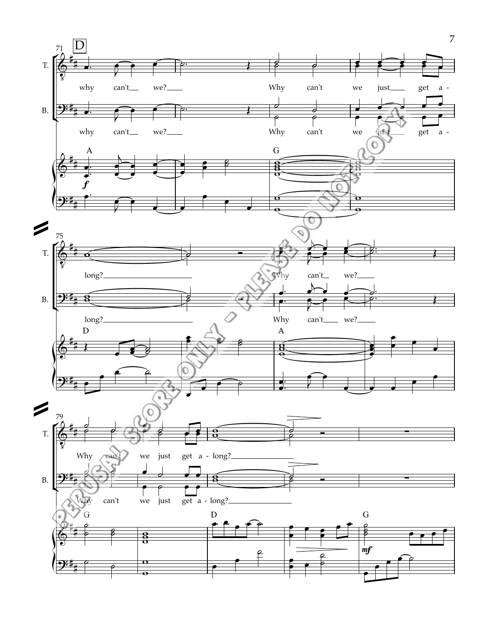![](_page_5_Figure_0.jpeg)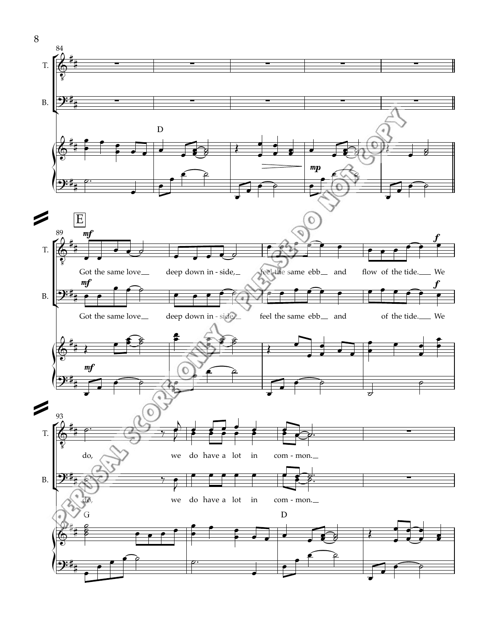![](_page_6_Figure_0.jpeg)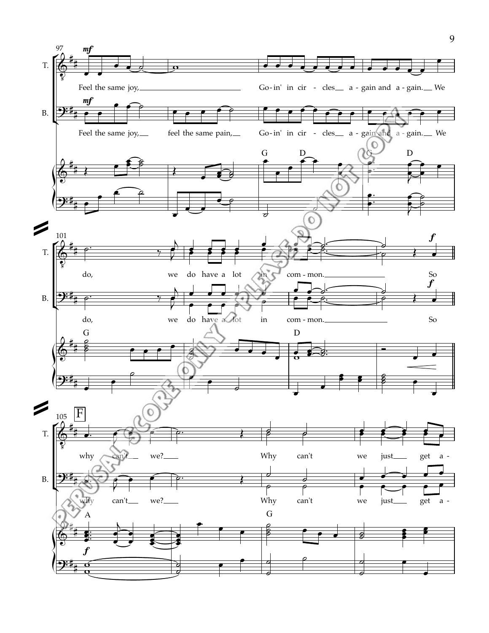![](_page_7_Figure_0.jpeg)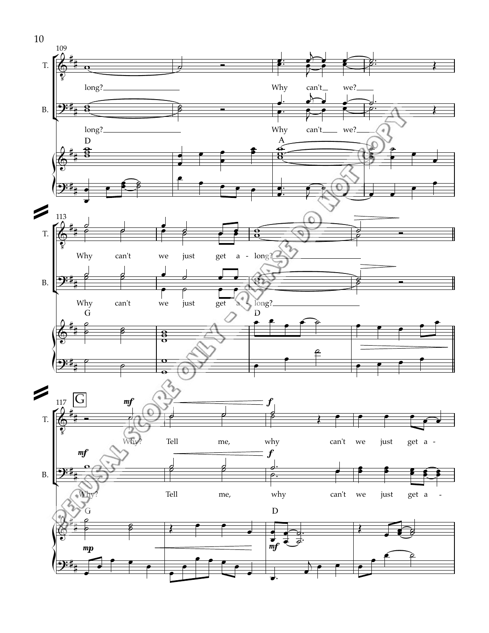![](_page_8_Figure_0.jpeg)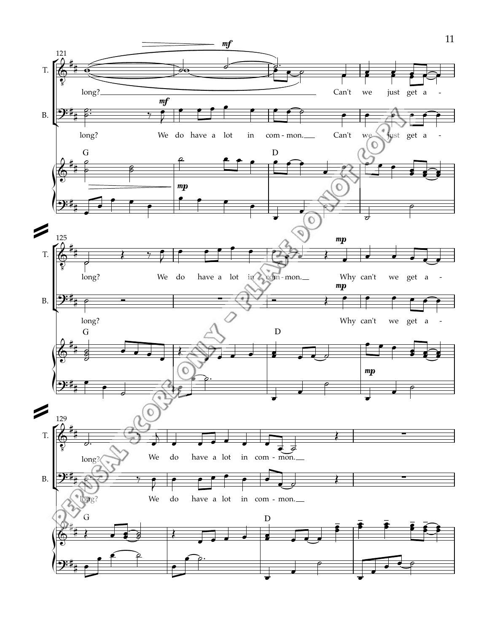![](_page_9_Figure_0.jpeg)